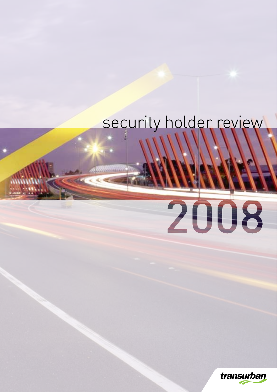## security holder review

# 2008

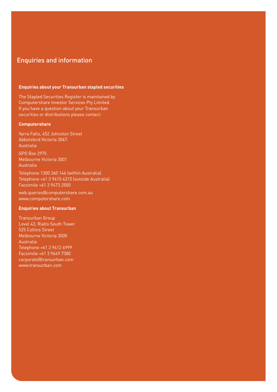### Enquiries and information

#### **Enquiries about your Transurban stapled securities**

The Stapled Securities Register is maintained by Computershare Investor Services Pty Limited. If you have a question about your Transurban securities or distributions please contact:

#### **Computershare**

Yarra Falls, 452 Johnston Street Abbotsford Victoria 3067 Australia

GPO Box 2975 Melbourne Victoria 3001 Australia

Telephone 1300 360 146 (within Australia) Telephone +61 3 9415 4315 (outside Australia) Facsimile +61 3 9473 2500

web.queries@computershare.com.au www.computershare.com

#### **Enquiries about Transurban**

Transurban Group Level 43, Rialto South Tower 525 Collins Street Melbourne Victoria 3000 Australia Telephone +61 3 9612 6999 Facsimile +61 3 9649 7380 corporate@transurban.com www.transurban.com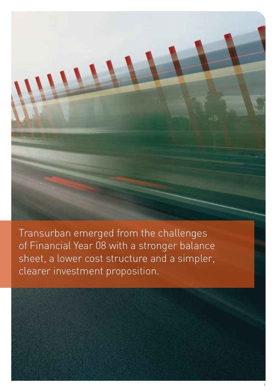Transurban emerged from the challenges of Financial Year 08 with a stronger balance sheet, a lower cost structure and a simpler, clearer investment proposition.

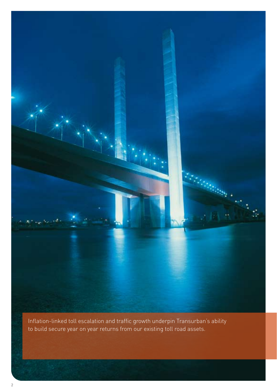

Inflation-linked toll escalation and traffic growth underpin Transurban's ability to build secure year on year returns from our existing toll road assets.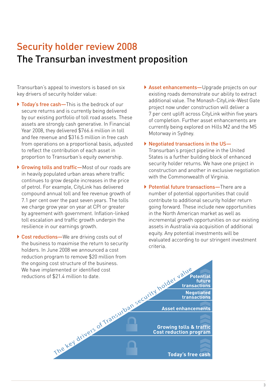### Security holder review 2008 The Transurban investment proposition

Transurban's appeal to investors is based on six key drivers of security holder value:

- ▶ Today's free cash—This is the bedrock of our secure returns and is currently being delivered by our existing portfolio of toll road assets. These assets are strongly cash generative. In Financial Year 2008, they delivered \$766.6 million in toll and fee revenue and \$316.5 million in free cash from operations on a proportional basis, adjusted to reflect the contribution of each asset in proportion to Transurban's equity ownership.
- ▶ Growing tolls and traffic—Most of our roads are in heavily populated urban areas where traffic continues to grow despite increases in the price of petrol. For example, CityLink has delivered compound annual toll and fee revenue growth of 7.1 per cent over the past seven years. The tolls we charge grow year on year at CPI or greater by agreement with government. Inflation-linked toll escalation and traffic growth underpin the resilience in our earnings growth.
- ▶ Cost reductions—We are driving costs out of the business to maximise the return to security holders. In June 2008 we announced a cost reduction program to remove \$20 million from the ongoing cost structure of the business. We have implemented or identified cost reductions of \$21.4 million to date.
- $\triangleright$  Asset enhancements—Upgrade projects on our existing roads demonstrate our ability to extract additional value. The Monash-CityLink-West Gate project now under construction will deliver a 7 per cent uplift across CityLink within five years of completion. Further asset enhancements are currently being explored on Hills M2 and the M5 Motorway in Sydney.
- ▶ Negotiated transactions in the US-Transurban's project pipeline in the United States is a further building block of enhanced security holder returns. We have one project in construction and another in exclusive negotiation with the Commonwealth of Virginia.
- ▶ Potential future transactions—There are a number of potential opportunities that could contribute to additional security holder return going forward. These include new opportunities in the North American market as well as incremental growth opportunities on our existing assets in Australia via acquisition of additional equity. Any potential investments will be evaluated according to our stringent investment criteria.

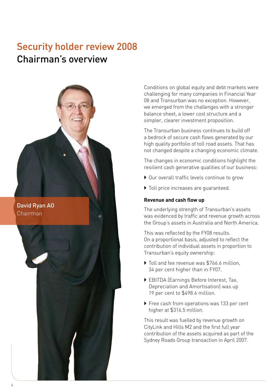### Security holder review 2008 Chairman's overview



Chairman

Conditions on global equity and debt markets were challenging for many companies in Financial Year 08 and Transurban was no exception. However, we emerged from the challenges with a stronger balance sheet, a lower cost structure and a simpler, clearer investment proposition.

The Transurban business continues to build off a bedrock of secure cash flows generated by our high quality portfolio of toll road assets. That has not changed despite a changing economic climate.

The changes in economic conditions highlight the resilient cash generative qualities of our business:

- ▶ Our overall traffic levels continue to grow
- $\blacktriangleright$  Toll price increases are quaranteed.

### **Revenue and cash flow up**

The underlying strength of Transurban's assets was evidenced by traffic and revenue growth across the Group's assets in Australia and North America.

This was reflected by the FY08 results. On a proportional basis, adjusted to reflect the contribution of individual assets in proportion to Transurban's equity ownership:

- $\triangleright$  Toll and fee revenue was \$766.6 million, 34 per cent higher than in FY07.
- ` EBITDA (Earnings Before Interest, Tax, Depreciation and Amortisation) was up 19 per cent to \$498.6 million.
- ▶ Free cash from operations was 133 per cent higher at \$316.5 million.

This result was fuelled by revenue growth on CityLink and Hills M2 and the first full year contribution of the assets acquired as part of the Sydney Roads Group transaction in April 2007.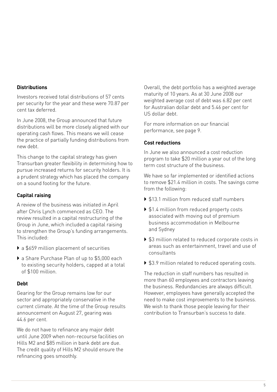### **Distributions**

Investors received total distributions of 57 cents per security for the year and these were 70.87 per cent tax deferred.

In June 2008, the Group announced that future distributions will be more closely aligned with our operating cash flows. This means we will cease the practice of partially funding distributions from new debt.

This change to the capital strategy has given Transurban greater flexibility in determining how to pursue increased returns for security holders. It is a prudent strategy which has placed the company on a sound footing for the future.

### **Capital raising**

A review of the business was initiated in April after Chris Lynch commenced as CEO. The review resulted in a capital restructuring of the Group in June, which included a capital raising to strengthen the Group's funding arrangements. This included:

- $\triangleright$  a \$659 million placement of securities
- ▶ a Share Purchase Plan of up to \$5,000 each to existing security holders, capped at a total of \$100 million.

### **Debt**

Gearing for the Group remains low for our sector and appropriately conservative in the current climate. At the time of the Group results announcement on August 27, gearing was 44.6 per cent.

We do not have to refinance any major debt until June 2009 when non-recourse facilities on Hills M2 and \$85 million in bank debt are due. The credit quality of Hills M2 should ensure the refinancing goes smoothly.

Overall, the debt portfolio has a weighted average maturity of 10 years. As at 30 June 2008 our weighted average cost of debt was 6.82 per cent for Australian dollar debt and 5.46 per cent for US dollar debt.

For more information on our financial performance, see page 9.

### **Cost reductions**

In June we also announced a cost reduction program to take \$20 million a year out of the long term cost structure of the business.

We have so far implemented or identified actions to remove \$21.4 million in costs. The savings come from the following:

- ▶ \$13.1 million from reduced staff numbers
- ▶ \$1.4 million from reduced property costs associated with moving out of premium business accommodation in Melbourne and Sydney
- ▶ \$3 million related to reduced corporate costs in areas such as entertainment, travel and use of consultants
- ▶ \$3.9 million related to reduced operating costs.

The reduction in staff numbers has resulted in more than 60 employees and contractors leaving the business. Redundancies are always difficult. However, employees have generally accepted the need to make cost improvements to the business. We wish to thank those people leaving for their contribution to Transurban's success to date.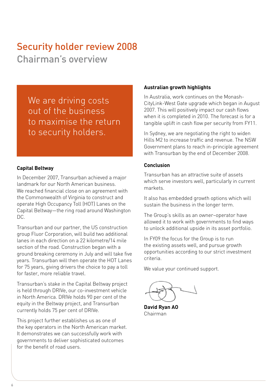### Security holder review 2008

Chairman's overview

We are driving costs out of the business to maximise the return to security holders.

### **Capital Beltway**

In December 2007, Transurban achieved a major landmark for our North American business. We reached financial close on an agreement with the Commonwealth of Virginia to construct and operate High Occupancy Toll (HOT) Lanes on the Capital Beltway—the ring road around Washington DC.

Transurban and our partner, the US construction group Fluor Corporation, will build two additional lanes in each direction on a 22 kilometre/14 mile section of the road. Construction began with a ground breaking ceremony in July and will take five years. Transurban will then operate the HOT Lanes for 75 years, giving drivers the choice to pay a toll for faster, more reliable travel.

Transurban's stake in the Capital Beltway project is held through DRIVe, our co-investment vehicle in North America. DRIVe holds 90 per cent of the equity in the Beltway project, and Transurban currently holds 75 per cent of DRIVe.

This project further establishes us as one of the key operators in the North American market. It demonstrates we can successfully work with governments to deliver sophisticated outcomes for the benefit of road users.

### **Australian growth highlights**

In Australia, work continues on the Monash-CityLink-West Gate upgrade which began in August 2007. This will positively impact our cash flows when it is completed in 2010. The forecast is for a tangible uplift in cash flow per security from FY11.

In Sydney, we are negotiating the right to widen Hills M2 to increase traffic and revenue. The NSW Government plans to reach in-principle agreement with Transurban by the end of December 2008.

### **Conclusion**

Transurban has an attractive suite of assets which serve investors well, particularly in current markets.

It also has embedded growth options which will sustain the business in the longer term.

The Group's skills as an owner–operator have allowed it to work with governments to find ways to unlock additional upside in its asset portfolio.

In FY09 the focus for the Group is to run the existing assets well, and pursue growth opportunities according to our strict investment criteria.

We value your continued support.

**David Ryan AO** Chairman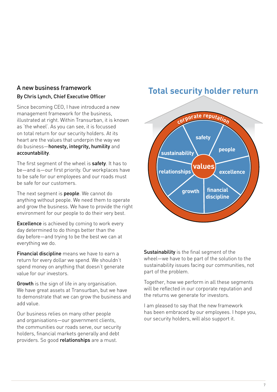### A new business framework By Chris Lynch, Chief Executive Officer

Since becoming CEO, I have introduced a new management framework for the business, illustrated at right. Within Transurban, it is known as 'the wheel'. As you can see, it is focussed on total return for our security holders. At its heart are the values that underpin the way we do business—honesty, integrity, humility and accountability.

The first segment of the wheel is safety. It has to be—and is—our first priority. Our workplaces have to be safe for our employees and our roads must be safe for our customers.

The next segment is **people**. We cannot do anything without people. We need them to operate and grow the business. We have to provide the right environment for our people to do their very best.

Excellence is achieved by coming to work every day determined to do things better than the day before—and trying to be the best we can at everything we do.

Financial discipline means we have to earn a return for every dollar we spend. We shouldn't spend money on anything that doesn't generate value for our investors.

**Growth** is the sign of life in any organisation. We have great assets at Transurban, but we have to demonstrate that we can grow the business and add value.

Our business relies on many other people and organisations—our government clients, the communities our roads serve, our security holders, financial markets generally and debt providers. So good relationships are a must.

### **Total security holder return**



Sustainability is the final segment of the wheel—we have to be part of the solution to the sustainability issues facing our communities, not part of the problem.

Together, how we perform in all these segments will be reflected in our corporate reputation and the returns we generate for investors.

I am pleased to say that the new framework has been embraced by our employees. I hope you, our security holders, will also support it.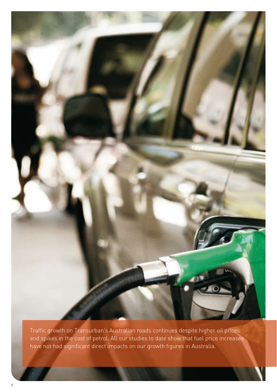

Traffic growth on Transurban's Australian roads continues despite higher oil prices and spikes in the cost of petrol. All our studies to date show that fuel price increases have not had significant direct impacts on our growth figures in Australia.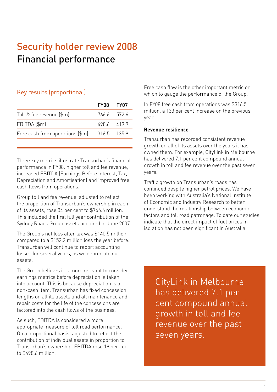### Security holder review 2008 Financial performance

### Key results (proportional)

| FY08 FY07   |             |
|-------------|-------------|
|             | 766.6 572.6 |
| 4986 4199   |             |
| 316.5 135.9 |             |
|             |             |

Three key metrics illustrate Transurban's financial performance in FY08: higher toll and fee revenue, increased EBITDA (Earnings Before Interest, Tax, Depreciation and Amortisation) and improved free cash flows from operations.

Group toll and fee revenue, adjusted to reflect the proportion of Transurban's ownership in each of its assets, rose 34 per cent to \$766.6 million. This included the first full year contribution of the Sydney Roads Group assets acquired in June 2007.

The Group's net loss after tax was \$140.5 million compared to a \$152.2 million loss the year before. Transurban will continue to report accounting losses for several years, as we depreciate our assets.

The Group believes it is more relevant to consider earnings metrics before depreciation is taken into account. This is because depreciation is a non-cash item. Transurban has fixed concession lengths on all its assets and all maintenance and repair costs for the life of the concessions are factored into the cash flows of the business.

As such, EBITDA is considered a more appropriate measure of toll road performance. On a proportional basis, adjusted to reflect the contribution of individual assets in proportion to Transurban's ownership, EBITDA rose 19 per cent to \$498.6 million.

Free cash flow is the other important metric on which to gauge the performance of the Group.

In FY08 free cash from operations was \$316.5 million, a 133 per cent increase on the previous year.

### **Revenue resilience**

Transurban has recorded consistent revenue growth on all of its assets over the years it has owned them. For example, CityLink in Melbourne has delivered 7.1 per cent compound annual growth in toll and fee revenue over the past seven years.

Traffic growth on Transurban's roads has continued despite higher petrol prices. We have been working with Australia's National Institute of Economic and Industry Research to better understand the relationship between economic factors and toll road patronage. To date our studies indicate that the direct impact of fuel prices in isolation has not been significant in Australia.

CityLink in Melbourne has delivered 7.1 per cent compound annual growth in toll and fee revenue over the past seven years.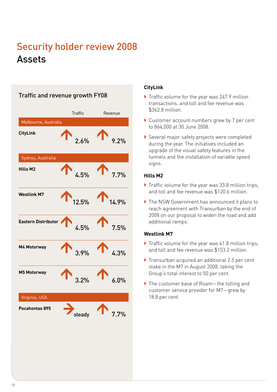### Security holder review 2008 Assets

Traffic and revenue growth FY08

### Traffic Revenue Melbourne, Australia **CityLink**   $2.6\%$ Sydney, Australia **Hills M2**   $4.5\%$  7.7% **Westlink M7**  $12.5\%$  1.0% **Eastern Distributor**  $4.5\%$   $7.5\%$ **M4 Motorway**  $3.9\%$   $4.3\%$ **M5 Motorway**  $3.2%$  6.0% Virginia, USA **Pocahontas 895** steady 7.7%

### **CityLink**

- Traffic volume for the year was 247.9 million transactions, and toll and fee revenue was \$362.8 million.
- ▶ Customer account numbers grew by 7 per cent to 864,000 at 30 June 2008.
- Several major safety projects were completed during the year. The initiatives included an upgrade of the visual safety features in the tunnels and the installation of variable speed signs.

### **Hills M2**

- $\blacktriangleright$  Traffic volume for the year was 33.8 million trips, and toll and fee revenue was \$120.6 million.
- ▶ The NSW Government has announced it plans to reach agreement with Transurban by the end of 2008 on our proposal to widen the road and add additional ramps.

### **Westlink M7**

- Traffic volume for the year was 41.8 million trips, and toll and fee revenue was \$153.2 million.
- $\blacktriangleright$  Transurban acquired an additional 2.5 per cent stake in the M7 in August 2008, taking the Group's total interest to 50 per cent.
- ▶ The customer base of Roam—the tolling and customer service provider for M7—grew by 18.8 per cent.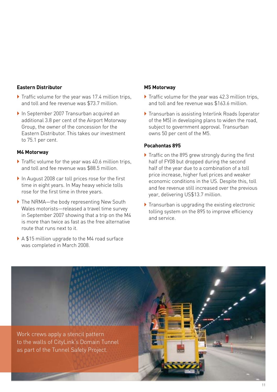### **Eastern Distributor**

- Traffic volume for the year was 17.4 million trips, and toll and fee revenue was \$73.7 million.
- ▶ In September 2007 Transurban acquired an additional 3.8 per cent of the Airport Motorway Group, the owner of the concession for the Eastern Distributor. This takes our investment to 75.1 per cent.

### **M4 Motorway**

- $\blacktriangleright$  Traffic volume for the year was 40.6 million trips, and toll and fee revenue was \$88.5 million.
- In August 2008 car toll prices rose for the first time in eight years. In May heavy vehicle tolls rose for the first time in three years.
- ▶ The NRMA—the body representing New South Wales motorists—released a travel time survey in September 2007 showing that a trip on the M4 is more than twice as fast as the free alternative route that runs next to it.
- ▶ A \$15 million upgrade to the M4 road surface was completed in March 2008.

### **M5 Motorway**

- Traffic volume for the year was 42.3 million trips, and toll and fee revenue was \$163.6 million.
- $\blacktriangleright$  Transurban is assisting Interlink Roads (operator of the M5) in developing plans to widen the road, subject to government approval. Transurban owns 50 per cent of the M5.

### **Pocahontas 895**

- Traffic on the 895 grew strongly during the first half of FY08 but dropped during the second half of the year due to a combination of a toll price increase, higher fuel prices and weaker economic conditions in the US. Despite this, toll and fee revenue still increased over the previous year, delivering US\$13.7 million.
- $\blacktriangleright$  Transurban is upgrading the existing electronic tolling system on the 895 to improve efficiency and service.

Work crews apply a stencil pattern to the walls of CityLink's Domain Tunnel as part of the Tunnel Safety Project.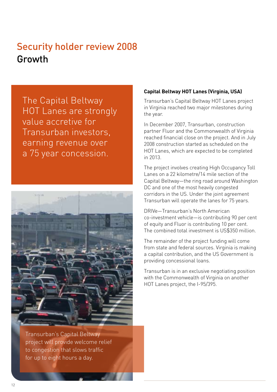### Security holder review 2008 Growth

The Capital Beltway HOT Lanes are strongly value accretive for Transurban investors, earning revenue over a 75 year concession.



Transurban's Capital Beltway project will provide welcome relief to congestion that slows traffic for up to eight hours a day.

### **Capital Beltway HOT Lanes (Virginia, USA)**

Transurban's Capital Beltway HOT Lanes project in Virginia reached two major milestones during the year.

In December 2007, Transurban, construction partner Fluor and the Commonwealth of Virginia reached financial close on the project. And in July 2008 construction started as scheduled on the HOT Lanes, which are expected to be completed in 2013.

The project involves creating High Occupancy Toll Lanes on a 22 kilometre/14 mile section of the Capital Beltway—the ring road around Washington DC and one of the most heavily congested corridors in the US. Under the joint agreement Transurban will operate the lanes for 75 years.

DRIVe—Transurban's North American co-investment vehicle—is contributing 90 per cent of equity and Fluor is contributing 10 per cent. The combined total investment is US\$350 million.

The remainder of the project funding will come from state and federal sources. Virginia is making a capital contribution, and the US Government is providing concessional loans.

Transurban is in an exclusive negotiating position with the Commonwealth of Virginia on another HOT Lanes project, the I-95/395.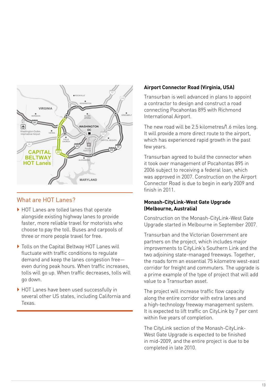

### What are HOT Lanes?

- ▶ HOT Lanes are tolled lanes that operate alongside existing highway lanes to provide **95** faster, more reliable travel for motorists who choose to pay the toll. Buses and carpools of three or more people travel for free.
- ▶ Tolls on the Capital Beltway HOT Lanes will fluctuate with traffic conditions to regulate demand and keep the lanes congestion freeeven during peak hours. When traffic increases, tolls will go up. When traffic decreases, tolls will go down.
- ▶ HOT Lanes have been used successfully in several other US states, including California and Texas.

### **Airport Connector Road (Virginia, USA)**

Transurban is well advanced in plans to appoint a contractor to design and construct a road connecting Pocahontas 895 with Richmond International Airport.

The new road will be 2.5 kilometres/1.6 miles long. It will provide a more direct route to the airport, which has experienced rapid growth in the past few years.

Transurban agreed to build the connector when it took over management of Pocahontas 895 in 2006 subject to receiving a federal loan, which was approved in 2007. Construction on the Airport Connector Road is due to begin in early 2009 and finish in 2011.

### **Monash-CityLink-West Gate Upgrade (Melbourne, Australia)**

Construction on the Monash-CityLink-West Gate Upgrade started in Melbourne in September 2007.

Transurban and the Victorian Government are partners on the project, which includes major improvements to CityLink's Southern Link and the two adjoining state-managed freeways. Together, the roads form an essential 75 kilometre west-east corridor for freight and commuters. The upgrade is a prime example of the type of project that will add value to a Transurban asset.

The project will increase traffic flow capacity along the entire corridor with extra lanes and a high-technology freeway management system. It is expected to lift traffic on CityLink by 7 per cent within five years of completion.

The CityLink section of the Monash-CityLink-West Gate Upgrade is expected to be finished in mid-2009, and the entire project is due to be completed in late 2010.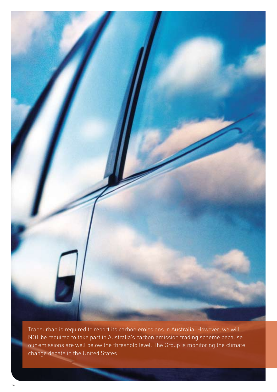

Transurban is required to report its carbon emissions in Australia. However, we will NOT be required to take part in Australia's carbon emission trading scheme because our emissions are well below the threshold level. The Group is monitoring the climate change debate in the United States.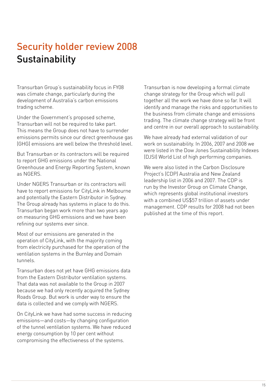### Security holder review 2008 **Sustainability**

Transurban Group's sustainability focus in FY08 was climate change, particularly during the development of Australia's carbon emissions trading scheme.

Under the Government's proposed scheme, Transurban will not be required to take part. This means the Group does not have to surrender emissions permits since our direct greenhouse gas (GHG) emissions are well below the threshold level.

But Transurban or its contractors will be required to report GHG emissions under the National Greenhouse and Energy Reporting System, known as NGERS.

Under NGERS Transurban or its contractors will have to report emissions for CityLink in Melbourne and potentially the Eastern Distributor in Sydney. The Group already has systems in place to do this. Transurban began work more than two years ago on measuring GHG emissions and we have been refining our systems ever since.

Most of our emissions are generated in the operation of CityLink, with the majority coming from electricity purchased for the operation of the ventilation systems in the Burnley and Domain tunnels.

Transurban does not yet have GHG emissions data from the Eastern Distributor ventilation systems. That data was not available to the Group in 2007 because we had only recently acquired the Sydney Roads Group. But work is under way to ensure the data is collected and we comply with NGERS.

On CityLink we have had some success in reducing emissions—and costs—by changing configuration of the tunnel ventilation systems. We have reduced energy consumption by 10 per cent without compromising the effectiveness of the systems.

Transurban is now developing a formal climate change strategy for the Group which will pull together all the work we have done so far. It will identify and manage the risks and opportunities to the business from climate change and emissions trading. The climate change strategy will be front and centre in our overall approach to sustainability.

We have already had external validation of our work on sustainability. In 2006, 2007 and 2008 we were listed in the Dow Jones Sustainability Indexes (DJSI) World List of high performing companies.

We were also listed in the Carbon Disclosure Project's (CDP) Australia and New Zealand leadership list in 2006 and 2007. The CDP is run by the Investor Group on Climate Change, which represents global institutional investors with a combined US\$57 trillion of assets under management. CDP results for 2008 had not been published at the time of this report.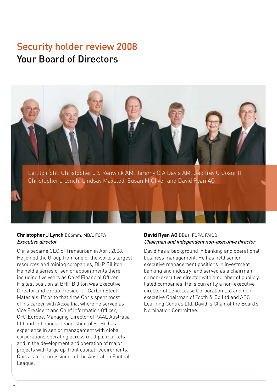### Security holder review 2008 Your Board of Directors



### **Christopher J Lynch** BComm, MBA, FCPA Executive director

Chris became CEO of Transurban in April 2008. He joined the Group from one of the world's largest resources and mining companies, BHP Billiton. He held a series of senior appointments there, including five years as Chief Financial Officer. His last position at BHP Billiton was Executive Director and Group President—Carbon Steel Materials. Prior to that time Chris spent most of his career with Alcoa Inc, where he served as Vice President and Chief Information Officer, CFO Europe, Managing Director of KAAL Australia Ltd and in financial leadership roles. He has experience in senior management with global corporations operating across multiple markets and in the development and operation of major projects with large up-front capital requirements. Chris is a Commissioner of the Australian Football League.

### **David Ryan AO** BBus, FCPA, FAICD Chairman and independent non-executive director

David has a background in banking and operational business management. He has held senior executive management positions in investment banking and industry, and served as a chairman or non-executive director with a number of publicly listed companies. He is currently a non-executive director of Lend Lease Corporation Ltd and nonexecutive Chairman of Tooth & Co Ltd and ABC Learning Centres Ltd. David is Chair of the Board's Nomination Committee.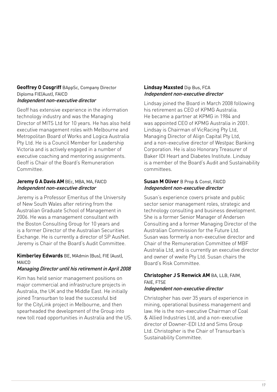#### **Geoffrey O Cosgriff** BAppSc, Company Director Diploma FIE(Aust), FAICD Independent non-executive director

Geoff has extensive experience in the information technology industry and was the Managing Director of MITS Ltd for 10 years. He has also held executive management roles with Melbourne and Metropolitan Board of Works and Logica Australia Pty Ltd. He is a Council Member for Leadership Victoria and is actively engaged in a number of executive coaching and mentoring assignments. Geoff is Chair of the Board's Remuneration Committee.

### **Jeremy G A Davis AM** BEc, MBA, MA, FAICD Independent non-executive director

Jeremy is a Professor Emeritus of the University of New South Wales after retiring from the Australian Graduate School of Management in 2006. He was a management consultant with the Boston Consulting Group for 10 years and is a former Director of the Australian Securities Exchange. He is currently a director of SP AusNet. Jeremy is Chair of the Board's Audit Committee.

### **Kimberley Edwards** BE, MAdmin (Bus), FIE (Aust), MAICD

### Managing Director until his retirement in April 2008

Kim has held senior management positions on major commercial and infrastructure projects in Australia, the UK and the Middle East. He initially joined Transurban to lead the successful bid for the CityLink project in Melbourne, and then spearheaded the development of the Group into new toll road opportunities in Australia and the US.

### **Lindsay Maxsted** Dip Bus, FCA Independent non-executive director

Lindsay joined the Board in March 2008 following his retirement as CEO of KPMG Australia. He became a partner at KPMG in 1984 and was appointed CEO of KPMG Australia in 2001. Lindsay is Chairman of VicRacing Pty Ltd, Managing Director of Align Capital Pty Ltd, and a non-executive director of Westpac Banking Corporation. He is also Honorary Treasurer of Baker IDI Heart and Diabetes Institute. Lindsay is a member of the Board's Audit and Sustainability committees.

### **Susan M Oliver** B Prop & Const, FAICD Independent non-executive director

Susan's experience covers private and public sector senior management roles, strategic and technology consulting and business development. She is a former Senior Manager of Andersen Consulting and a former Managing Director of the Australian Commission for the Future Ltd. Susan was formerly a non-executive director and Chair of the Remuneration Committee of MBF Australia Ltd, and is currently an executive director and owner of wwite Pty Ltd. Susan chairs the Board's Risk Committee.

### **Christopher J S Renwick AM** BA, LLB, FAIM, FAIF FTSF Independent non-executive director

Christopher has over 35 years of experience in mining, operational business management and law. He is the non-executive Chairman of Coal & Allied Industries Ltd, and a non-executive director of Downer-EDI Ltd and Sims Group Ltd. Christopher is the Chair of Transurban's Sustainability Committee.